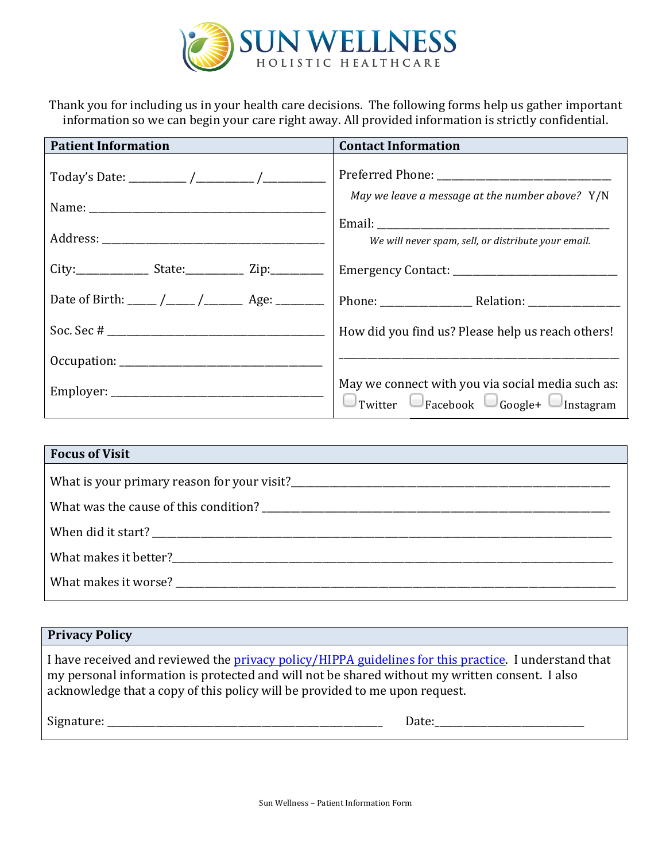

Thank you for including us in your health care decisions. The following forms help us gather important information so we can begin your care right away. All provided information is strictly confidential.

| <b>Patient Information</b>                             | <b>Contact Information</b>                                                                                          |  |
|--------------------------------------------------------|---------------------------------------------------------------------------------------------------------------------|--|
|                                                        | May we leave a message at the number above? Y/N<br>We will never spam, sell, or distribute your email.              |  |
|                                                        |                                                                                                                     |  |
| Date of Birth: _____ /_____ /__________ Age: _________ |                                                                                                                     |  |
|                                                        | How did you find us? Please help us reach others!                                                                   |  |
|                                                        |                                                                                                                     |  |
|                                                        | May we connect with you via social media such as:<br>$\Box$ Twitter $\Box$ Facebook $\Box$ Google+ $\Box$ Instagram |  |

| <b>Focus of Visit</b> |  |  |
|-----------------------|--|--|
|                       |  |  |
|                       |  |  |
|                       |  |  |
| What makes it better? |  |  |
| What makes it worse?  |  |  |

| <b>Privacy Policy</b> |  |
|-----------------------|--|
|-----------------------|--|

I have received and reviewed the privacy policy/HIPPA guidelines for this practice. I understand that my personal information is protected and will not be shared without my written consent. I also acknowledge that a copy of this policy will be provided to me upon request.

Signature: \_\_\_\_\_\_\_\_\_\_\_\_\_\_\_\_\_\_\_\_\_\_\_\_\_\_\_\_\_\_\_\_\_\_\_\_\_\_\_\_\_\_\_\_\_\_\_\_\_\_\_\_\_\_\_\_\_ Date:\_\_\_\_\_\_\_\_\_\_\_\_\_\_\_\_\_\_\_\_\_\_\_\_\_\_\_\_\_\_\_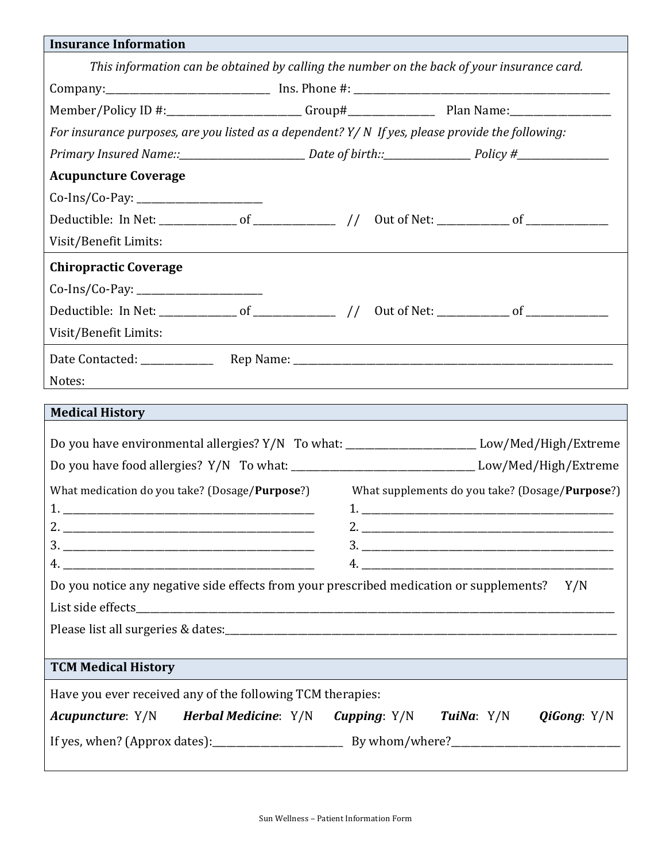| <b>Insurance Information</b>                                                                      |  |  |  |
|---------------------------------------------------------------------------------------------------|--|--|--|
| This information can be obtained by calling the number on the back of your insurance card.        |  |  |  |
|                                                                                                   |  |  |  |
| Member/Policy ID #:______________________Group#__________________________________                 |  |  |  |
| For insurance purposes, are you listed as a dependent? Y/ N If yes, please provide the following: |  |  |  |
|                                                                                                   |  |  |  |
| <b>Acupuncture Coverage</b>                                                                       |  |  |  |
|                                                                                                   |  |  |  |
|                                                                                                   |  |  |  |
| Visit/Benefit Limits:                                                                             |  |  |  |
| <b>Chiropractic Coverage</b>                                                                      |  |  |  |
|                                                                                                   |  |  |  |
|                                                                                                   |  |  |  |
| Visit/Benefit Limits:                                                                             |  |  |  |
|                                                                                                   |  |  |  |
| Notes:<br>,我们也不会有什么。""我们的人,我们也不会有什么?""我们的人,我们也不会有什么?""我们的人,我们也不会有什么?""我们的人,我们也不会有什么?""我们的人        |  |  |  |
| <b>Medical History</b>                                                                            |  |  |  |
|                                                                                                   |  |  |  |
| Do you have environmental allergies? Y/N To what: ________________________Low/Med/High/Extreme    |  |  |  |
| Do you have food allergies? Y/N To what: _______________________________Low/Med/High/Extreme      |  |  |  |
| What medication do you take? (Dosage/Purpose?) What supplements do you take? (Dosage/Purpose?)    |  |  |  |
|                                                                                                   |  |  |  |
|                                                                                                   |  |  |  |
|                                                                                                   |  |  |  |
| Do you notice any negative side effects from your prescribed medication or supplements? Y/N       |  |  |  |
| List side effects                                                                                 |  |  |  |
|                                                                                                   |  |  |  |
|                                                                                                   |  |  |  |
| <b>TCM Medical History</b>                                                                        |  |  |  |
| Have you ever received any of the following TCM therapies:                                        |  |  |  |
| Acupuncture: Y/N<br>Herbal Medicine: Y/N Cupping: Y/N<br>TuiNa: Y/N QiGong: Y/N                   |  |  |  |
|                                                                                                   |  |  |  |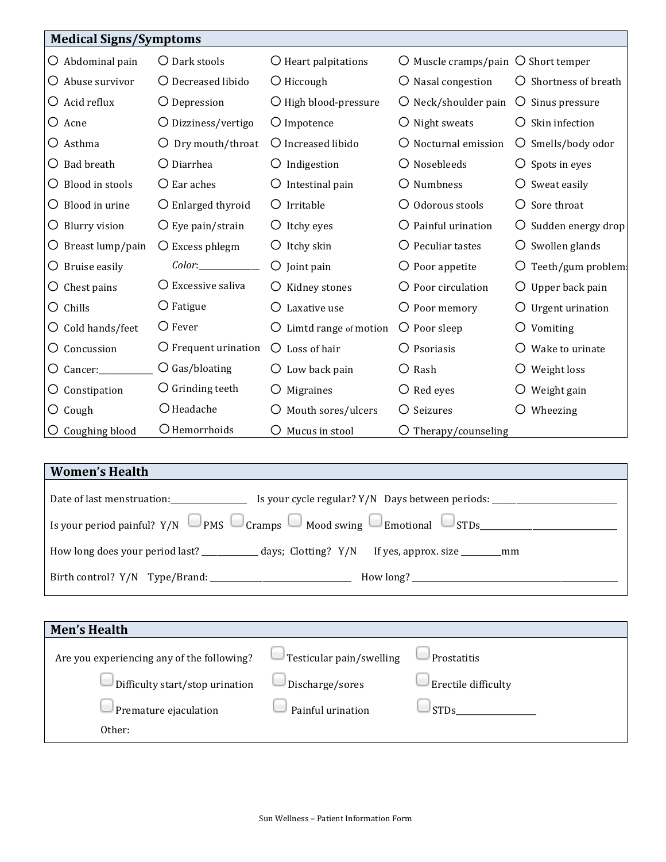|                             | <b>Medical Signs/Symptoms</b> |                            |                                                               |                               |  |
|-----------------------------|-------------------------------|----------------------------|---------------------------------------------------------------|-------------------------------|--|
| $\bigcirc$ Abdominal pain   | O Dark stools                 | O Heart palpitations       | $\overline{O}$ Muscle cramps/pain $\overline{O}$ Short temper |                               |  |
| $\bigcirc$ Abuse survivor   | O Decreased libido            | $\bigcirc$ Hiccough        | O Nasal congestion                                            | O Shortness of breath         |  |
| $\bigcirc$ Acid reflux      | O Depression                  | O High blood-pressure      | $\bigcirc$ Neck/shoulder pain                                 | O Sinus pressure              |  |
| O Acne                      | $\bigcirc$ Dizziness/vertigo  | O Impotence                | $\bigcirc$ Night sweats                                       | Skin infection                |  |
| O Asthma                    | $\bigcirc$ Dry mouth/throat   | O Increased libido         | O Nocturnal emission                                          | Smells/body odor<br>Ő         |  |
| <b>Bad breath</b><br>Ő.     | O Diarrhea                    | O Indigestion              | O Nosebleeds                                                  | $\bigcirc$ Spots in eyes      |  |
| Blood in stools<br>Ő        | $\bigcirc$ Ear aches          | $\bigcirc$ Intestinal pain | O Numbness                                                    | $\bigcirc$ Sweat easily       |  |
| Blood in urine<br>Ő         | O Enlarged thyroid            | Irritable<br>O             | $\bigcirc$ Odorous stools                                     | Sore throat<br>Ő              |  |
| <b>Blurry vision</b><br>O.  | $\bigcirc$ Eye pain/strain    | $\bigcirc$ Itchy eyes      | O Painful urination                                           | Sudden energy drop            |  |
| $\bigcirc$ Breast lump/pain | $\bigcirc$ Excess phlegm      | $\bigcirc$ Itchy skin      | O Peculiar tastes                                             | $\bigcirc$ Swollen glands     |  |
| Bruise easily<br>Ő.         |                               | $\bigcirc$ Joint pain      | $\bigcirc$ Poor appetite                                      | $\bigcirc$ Teeth/gum problem: |  |
| Chest pains<br>Ő            | $\bigcirc$ Excessive saliva   | O Kidney stones            | $\bigcirc$ Poor circulation                                   | $\bigcirc$ Upper back pain    |  |
| Chills<br>O                 | $\bigcirc$ Fatigue            | Laxative use               | O Poor memory                                                 | Urgent urination              |  |
| Cold hands/feet<br>O.       | $\bigcirc$ Fever              | Limtd range of motion      | $\bigcirc$ Poor sleep                                         | Vomiting                      |  |
| Concussion<br>Ő             | $\bigcirc$ Frequent urination | $\bigcirc$ Loss of hair    | O Psoriasis                                                   | Wake to urinate               |  |
| Cancer:<br>Ő                | $\bigcirc$ Gas/bloating       | Low back pain              | $\bigcirc$ Rash                                               | Weight loss                   |  |
| Constipation<br>O           | O Grinding teeth              | Migraines                  | $\bigcirc$ Red eyes                                           | Weight gain                   |  |
| $\bigcirc$ Cough            | O Headache                    | Mouth sores/ulcers         | O Seizures                                                    | Wheezing                      |  |
| Coughing blood              | O Hemorrhoids                 | Mucus in stool             | $\bigcirc$ Therapy/counseling                                 |                               |  |

| <b>Women's Health</b>                                                          |  |  |
|--------------------------------------------------------------------------------|--|--|
| Date of last menstruation:<br>Is your cycle regular? Y/N Days between periods: |  |  |
|                                                                                |  |  |
|                                                                                |  |  |
|                                                                                |  |  |
|                                                                                |  |  |

| <b>Men's Health</b>                        |                          |                     |
|--------------------------------------------|--------------------------|---------------------|
| Are you experiencing any of the following? | Testicular pain/swelling | Prostatitis         |
| Difficulty start/stop urination            | Discharge/sores          | Erectile difficulty |
| Premature ejaculation                      | Painful urination        | <b>STDs</b>         |
| Other:                                     |                          |                     |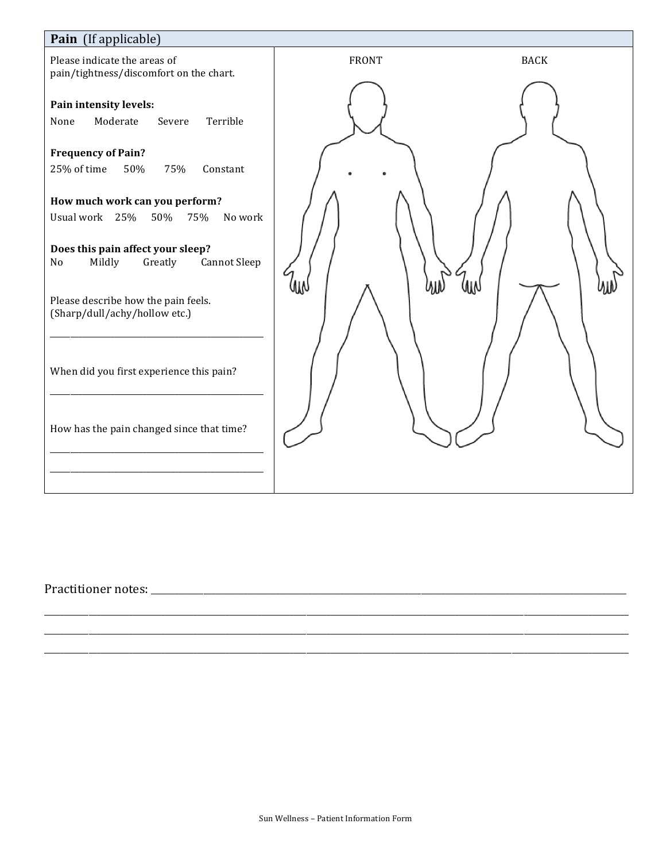

####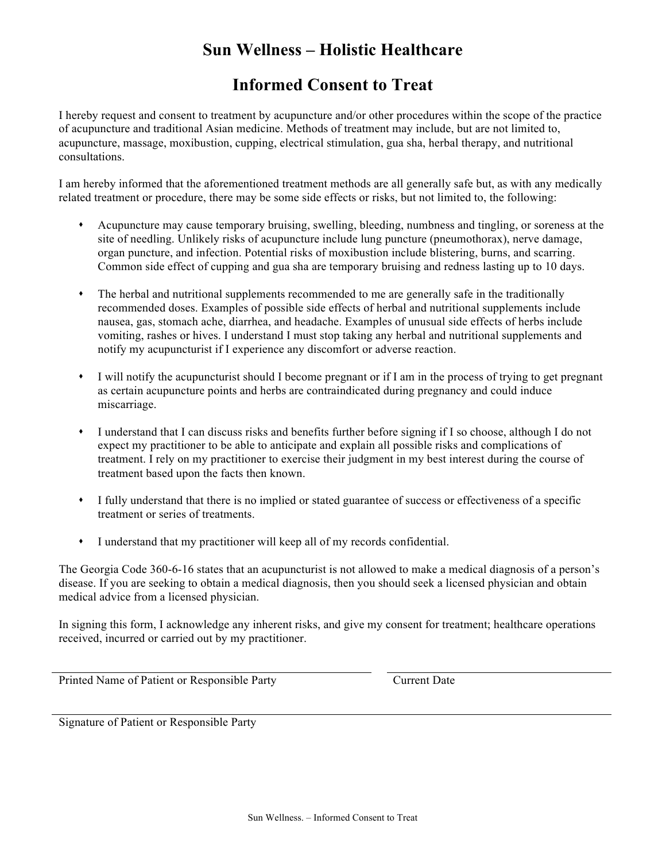# **Sun Wellness – Holistic Healthcare**

## **Informed Consent to Treat**

I hereby request and consent to treatment by acupuncture and/or other procedures within the scope of the practice of acupuncture and traditional Asian medicine. Methods of treatment may include, but are not limited to, acupuncture, massage, moxibustion, cupping, electrical stimulation, gua sha, herbal therapy, and nutritional consultations.

I am hereby informed that the aforementioned treatment methods are all generally safe but, as with any medically related treatment or procedure, there may be some side effects or risks, but not limited to, the following:

- Acupuncture may cause temporary bruising, swelling, bleeding, numbness and tingling, or soreness at the site of needling. Unlikely risks of acupuncture include lung puncture (pneumothorax), nerve damage, organ puncture, and infection. Potential risks of moxibustion include blistering, burns, and scarring. Common side effect of cupping and gua sha are temporary bruising and redness lasting up to 10 days.
- The herbal and nutritional supplements recommended to me are generally safe in the traditionally recommended doses. Examples of possible side effects of herbal and nutritional supplements include nausea, gas, stomach ache, diarrhea, and headache. Examples of unusual side effects of herbs include vomiting, rashes or hives. I understand I must stop taking any herbal and nutritional supplements and notify my acupuncturist if I experience any discomfort or adverse reaction.
- I will notify the acupuncturist should I become pregnant or if I am in the process of trying to get pregnant as certain acupuncture points and herbs are contraindicated during pregnancy and could induce miscarriage.
- I understand that I can discuss risks and benefits further before signing if I so choose, although I do not expect my practitioner to be able to anticipate and explain all possible risks and complications of treatment. I rely on my practitioner to exercise their judgment in my best interest during the course of treatment based upon the facts then known.
- I fully understand that there is no implied or stated guarantee of success or effectiveness of a specific treatment or series of treatments.
- I understand that my practitioner will keep all of my records confidential.

The Georgia Code 360-6-16 states that an acupuncturist is not allowed to make a medical diagnosis of a person's disease. If you are seeking to obtain a medical diagnosis, then you should seek a licensed physician and obtain medical advice from a licensed physician.

In signing this form, I acknowledge any inherent risks, and give my consent for treatment; healthcare operations received, incurred or carried out by my practitioner.

Printed Name of Patient or Responsible Party Current Date

Signature of Patient or Responsible Party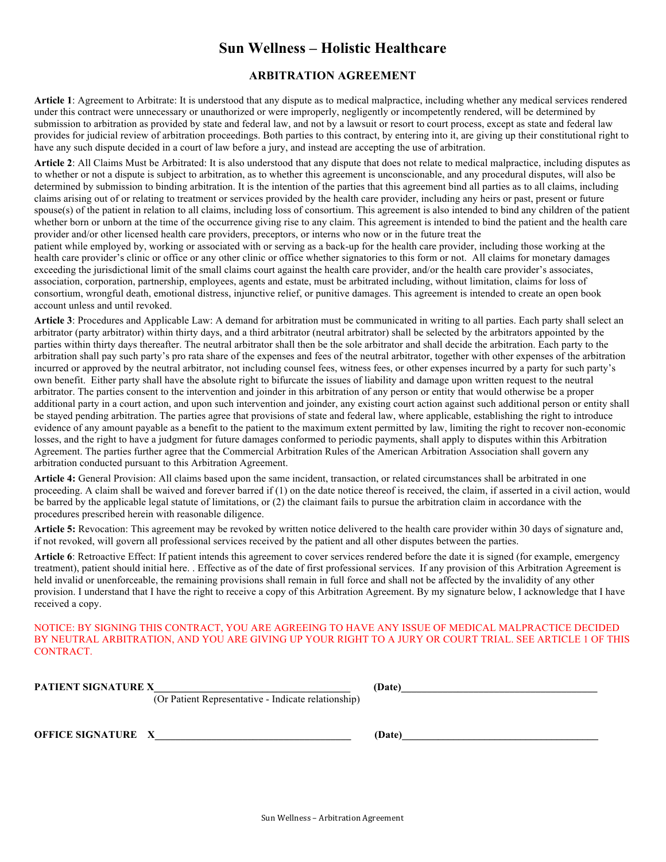### **Sun Wellness – Holistic Healthcare**

#### **ARBITRATION AGREEMENT**

**Article 1**: Agreement to Arbitrate: It is understood that any dispute as to medical malpractice, including whether any medical services rendered under this contract were unnecessary or unauthorized or were improperly, negligently or incompetently rendered, will be determined by submission to arbitration as provided by state and federal law, and not by a lawsuit or resort to court process, except as state and federal law provides for judicial review of arbitration proceedings. Both parties to this contract, by entering into it, are giving up their constitutional right to have any such dispute decided in a court of law before a jury, and instead are accepting the use of arbitration.

**Article 2**: All Claims Must be Arbitrated: It is also understood that any dispute that does not relate to medical malpractice, including disputes as to whether or not a dispute is subject to arbitration, as to whether this agreement is unconscionable, and any procedural disputes, will also be determined by submission to binding arbitration. It is the intention of the parties that this agreement bind all parties as to all claims, including claims arising out of or relating to treatment or services provided by the health care provider, including any heirs or past, present or future spouse(s) of the patient in relation to all claims, including loss of consortium. This agreement is also intended to bind any children of the patient whether born or unborn at the time of the occurrence giving rise to any claim. This agreement is intended to bind the patient and the health care provider and/or other licensed health care providers, preceptors, or interns who now or in the future treat the

patient while employed by, working or associated with or serving as a back-up for the health care provider, including those working at the health care provider's clinic or office or any other clinic or office whether signatories to this form or not. All claims for monetary damages exceeding the jurisdictional limit of the small claims court against the health care provider, and/or the health care provider's associates, association, corporation, partnership, employees, agents and estate, must be arbitrated including, without limitation, claims for loss of consortium, wrongful death, emotional distress, injunctive relief, or punitive damages. This agreement is intended to create an open book account unless and until revoked.

**Article 3**: Procedures and Applicable Law: A demand for arbitration must be communicated in writing to all parties. Each party shall select an arbitrator (party arbitrator) within thirty days, and a third arbitrator (neutral arbitrator) shall be selected by the arbitrators appointed by the parties within thirty days thereafter. The neutral arbitrator shall then be the sole arbitrator and shall decide the arbitration. Each party to the arbitration shall pay such party's pro rata share of the expenses and fees of the neutral arbitrator, together with other expenses of the arbitration incurred or approved by the neutral arbitrator, not including counsel fees, witness fees, or other expenses incurred by a party for such party's own benefit. Either party shall have the absolute right to bifurcate the issues of liability and damage upon written request to the neutral arbitrator. The parties consent to the intervention and joinder in this arbitration of any person or entity that would otherwise be a proper additional party in a court action, and upon such intervention and joinder, any existing court action against such additional person or entity shall be stayed pending arbitration. The parties agree that provisions of state and federal law, where applicable, establishing the right to introduce evidence of any amount payable as a benefit to the patient to the maximum extent permitted by law, limiting the right to recover non-economic losses, and the right to have a judgment for future damages conformed to periodic payments, shall apply to disputes within this Arbitration Agreement. The parties further agree that the Commercial Arbitration Rules of the American Arbitration Association shall govern any arbitration conducted pursuant to this Arbitration Agreement.

**Article 4:** General Provision: All claims based upon the same incident, transaction, or related circumstances shall be arbitrated in one proceeding. A claim shall be waived and forever barred if (1) on the date notice thereof is received, the claim, if asserted in a civil action, would be barred by the applicable legal statute of limitations, or (2) the claimant fails to pursue the arbitration claim in accordance with the procedures prescribed herein with reasonable diligence.

**Article 5:** Revocation: This agreement may be revoked by written notice delivered to the health care provider within 30 days of signature and, if not revoked, will govern all professional services received by the patient and all other disputes between the parties.

**Article 6**: Retroactive Effect: If patient intends this agreement to cover services rendered before the date it is signed (for example, emergency treatment), patient should initial here. . Effective as of the date of first professional services. If any provision of this Arbitration Agreement is held invalid or unenforceable, the remaining provisions shall remain in full force and shall not be affected by the invalidity of any other provision. I understand that I have the right to receive a copy of this Arbitration Agreement. By my signature below, I acknowledge that I have received a copy.

NOTICE: BY SIGNING THIS CONTRACT, YOU ARE AGREEING TO HAVE ANY ISSUE OF MEDICAL MALPRACTICE DECIDED BY NEUTRAL ARBITRATION, AND YOU ARE GIVING UP YOUR RIGHT TO A JURY OR COURT TRIAL. SEE ARTICLE 1 OF THIS CONTRACT.

**PATIENT SIGNATURE X\_\_\_\_\_\_\_\_\_\_\_\_\_\_\_\_\_\_\_\_\_\_\_\_\_\_\_\_\_\_\_\_\_\_\_\_\_\_ (Date)\_\_\_\_\_\_\_\_\_\_\_\_\_\_\_\_\_\_\_\_\_\_\_\_\_\_\_\_\_\_\_\_\_\_\_\_\_\_** 

(Or Patient Representative - Indicate relationship)

**OFFICE SIGNATURE X** (Date)